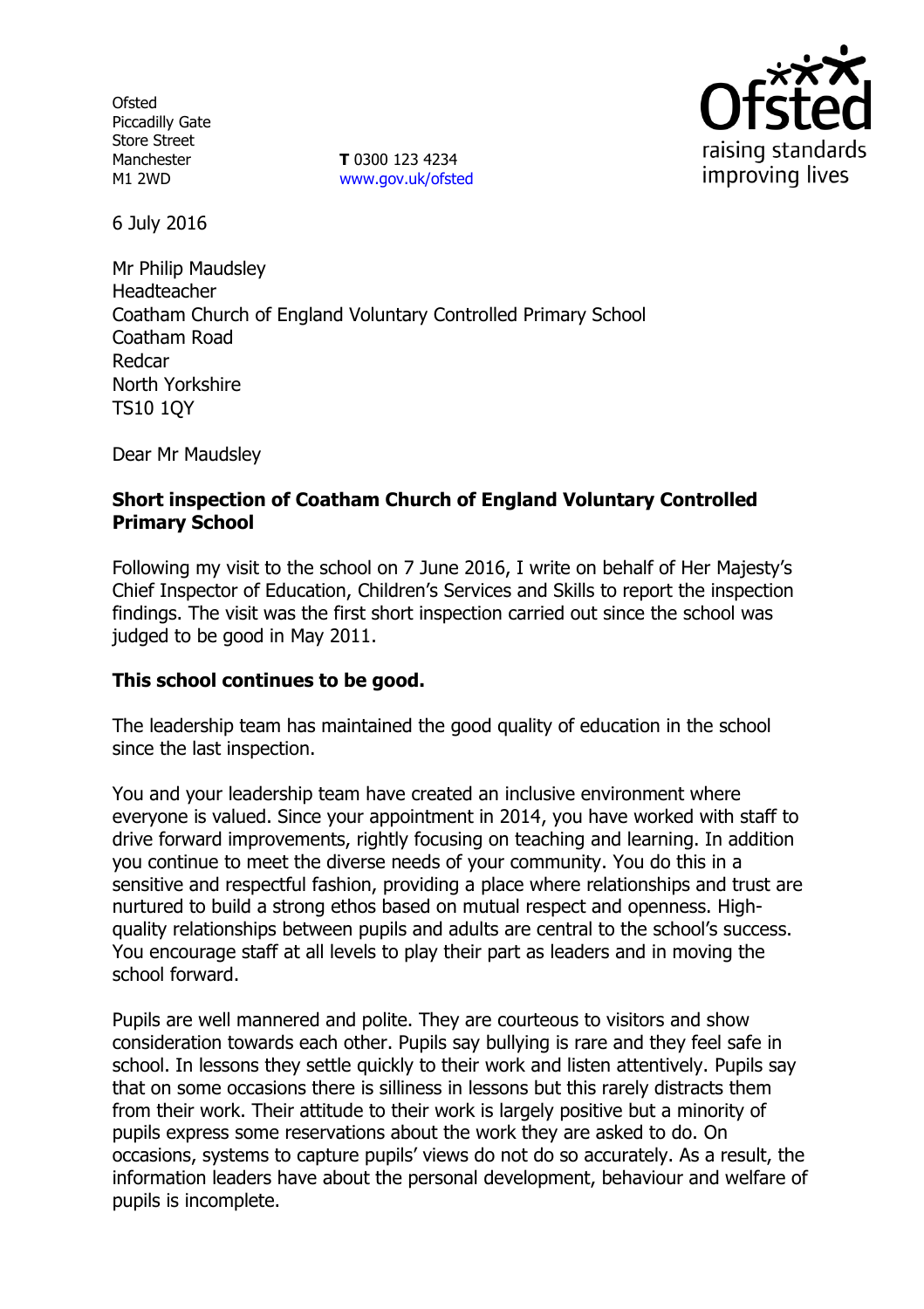**Ofsted** Piccadilly Gate Store Street Manchester M1 2WD

**T** 0300 123 4234 www.gov.uk/ofsted



6 July 2016

Mr Philip Maudsley Headteacher Coatham Church of England Voluntary Controlled Primary School Coatham Road Redcar North Yorkshire TS10 1QY

Dear Mr Maudsley

# **Short inspection of Coatham Church of England Voluntary Controlled Primary School**

Following my visit to the school on 7 June 2016, I write on behalf of Her Majesty's Chief Inspector of Education, Children's Services and Skills to report the inspection findings. The visit was the first short inspection carried out since the school was judged to be good in May 2011.

## **This school continues to be good.**

The leadership team has maintained the good quality of education in the school since the last inspection.

You and your leadership team have created an inclusive environment where everyone is valued. Since your appointment in 2014, you have worked with staff to drive forward improvements, rightly focusing on teaching and learning. In addition you continue to meet the diverse needs of your community. You do this in a sensitive and respectful fashion, providing a place where relationships and trust are nurtured to build a strong ethos based on mutual respect and openness. Highquality relationships between pupils and adults are central to the school's success. You encourage staff at all levels to play their part as leaders and in moving the school forward.

Pupils are well mannered and polite. They are courteous to visitors and show consideration towards each other. Pupils say bullying is rare and they feel safe in school. In lessons they settle quickly to their work and listen attentively. Pupils say that on some occasions there is silliness in lessons but this rarely distracts them from their work. Their attitude to their work is largely positive but a minority of pupils express some reservations about the work they are asked to do. On occasions, systems to capture pupils' views do not do so accurately. As a result, the information leaders have about the personal development, behaviour and welfare of pupils is incomplete.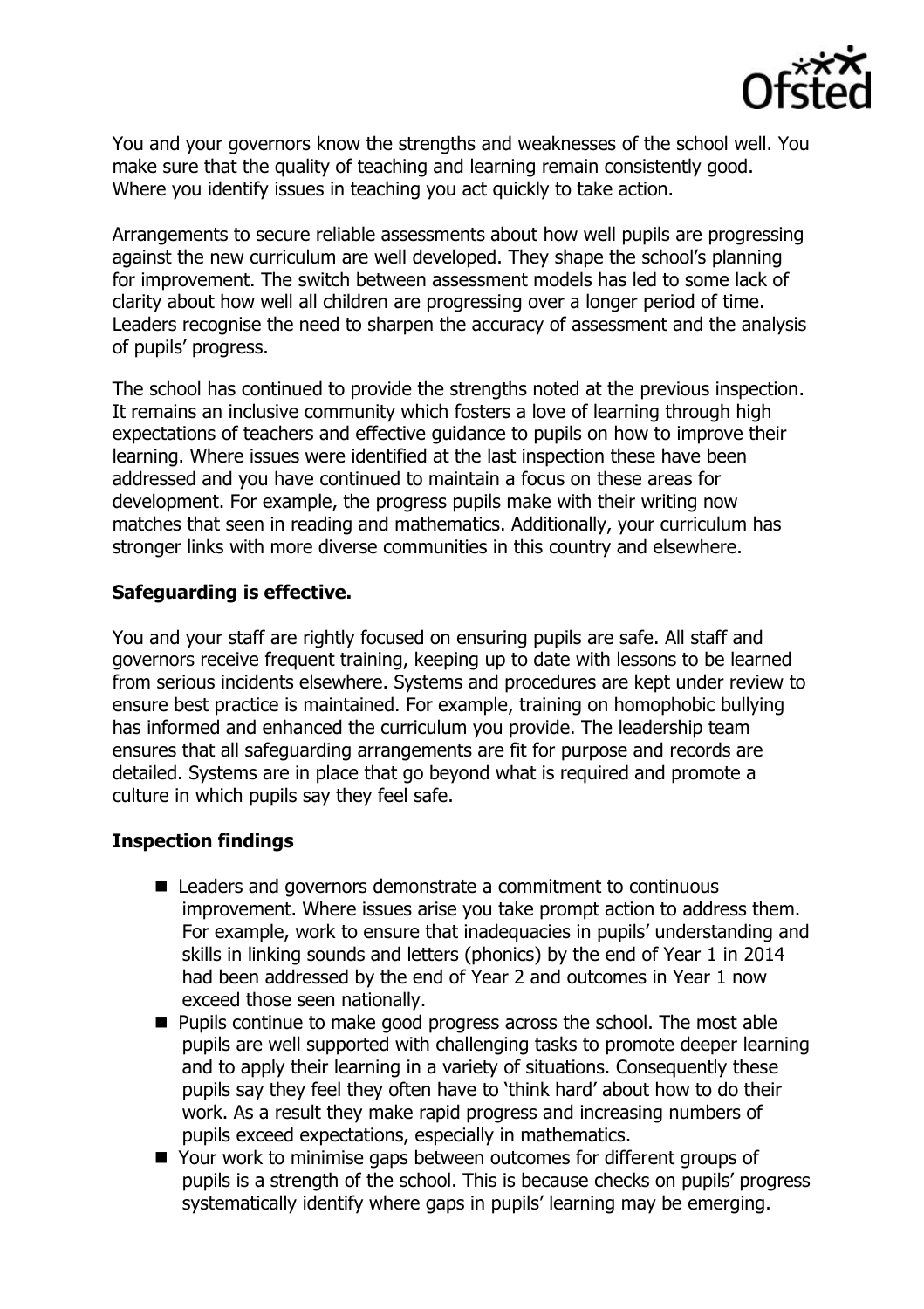

You and your governors know the strengths and weaknesses of the school well. You make sure that the quality of teaching and learning remain consistently good. Where you identify issues in teaching you act quickly to take action.

Arrangements to secure reliable assessments about how well pupils are progressing against the new curriculum are well developed. They shape the school's planning for improvement. The switch between assessment models has led to some lack of clarity about how well all children are progressing over a longer period of time. Leaders recognise the need to sharpen the accuracy of assessment and the analysis of pupils' progress.

The school has continued to provide the strengths noted at the previous inspection. It remains an inclusive community which fosters a love of learning through high expectations of teachers and effective guidance to pupils on how to improve their learning. Where issues were identified at the last inspection these have been addressed and you have continued to maintain a focus on these areas for development. For example, the progress pupils make with their writing now matches that seen in reading and mathematics. Additionally, your curriculum has stronger links with more diverse communities in this country and elsewhere.

# **Safeguarding is effective.**

You and your staff are rightly focused on ensuring pupils are safe. All staff and governors receive frequent training, keeping up to date with lessons to be learned from serious incidents elsewhere. Systems and procedures are kept under review to ensure best practice is maintained. For example, training on homophobic bullying has informed and enhanced the curriculum you provide. The leadership team ensures that all safeguarding arrangements are fit for purpose and records are detailed. Systems are in place that go beyond what is required and promote a culture in which pupils say they feel safe.

## **Inspection findings**

- Leaders and governors demonstrate a commitment to continuous improvement. Where issues arise you take prompt action to address them. For example, work to ensure that inadequacies in pupils' understanding and skills in linking sounds and letters (phonics) by the end of Year 1 in 2014 had been addressed by the end of Year 2 and outcomes in Year 1 now exceed those seen nationally.
- **Pupils continue to make good progress across the school. The most able** pupils are well supported with challenging tasks to promote deeper learning and to apply their learning in a variety of situations. Consequently these pupils say they feel they often have to 'think hard' about how to do their work. As a result they make rapid progress and increasing numbers of pupils exceed expectations, especially in mathematics.
- Your work to minimise gaps between outcomes for different groups of pupils is a strength of the school. This is because checks on pupils' progress systematically identify where gaps in pupils' learning may be emerging.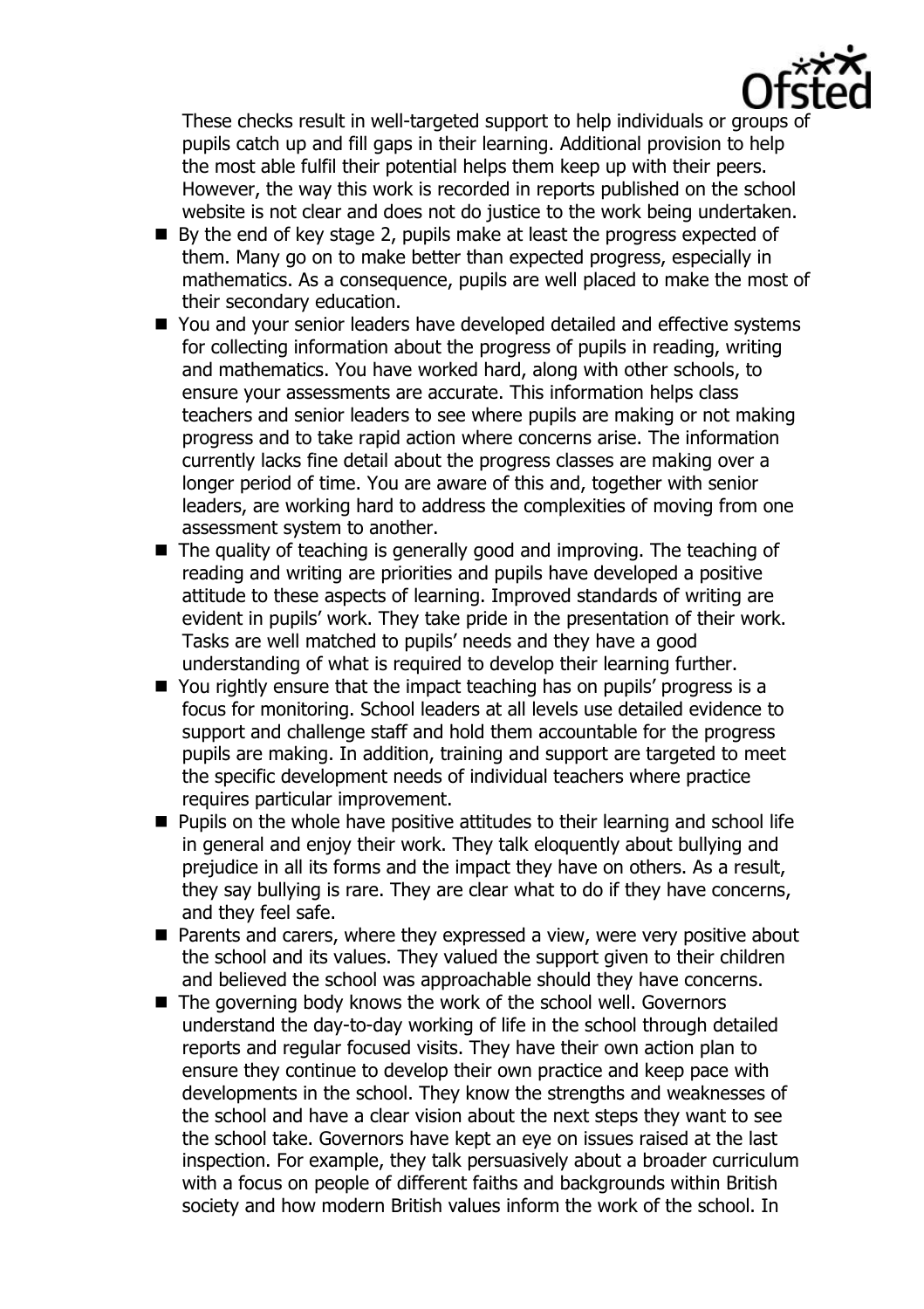

These checks result in well-targeted support to help individuals or groups of pupils catch up and fill gaps in their learning. Additional provision to help the most able fulfil their potential helps them keep up with their peers. However, the way this work is recorded in reports published on the school website is not clear and does not do justice to the work being undertaken.

- By the end of key stage 2, pupils make at least the progress expected of them. Many go on to make better than expected progress, especially in mathematics. As a consequence, pupils are well placed to make the most of their secondary education.
- You and your senior leaders have developed detailed and effective systems for collecting information about the progress of pupils in reading, writing and mathematics. You have worked hard, along with other schools, to ensure your assessments are accurate. This information helps class teachers and senior leaders to see where pupils are making or not making progress and to take rapid action where concerns arise. The information currently lacks fine detail about the progress classes are making over a longer period of time. You are aware of this and, together with senior leaders, are working hard to address the complexities of moving from one assessment system to another.
- $\blacksquare$  The quality of teaching is generally good and improving. The teaching of reading and writing are priorities and pupils have developed a positive attitude to these aspects of learning. Improved standards of writing are evident in pupils' work. They take pride in the presentation of their work. Tasks are well matched to pupils' needs and they have a good understanding of what is required to develop their learning further.
- You rightly ensure that the impact teaching has on pupils' progress is a focus for monitoring. School leaders at all levels use detailed evidence to support and challenge staff and hold them accountable for the progress pupils are making. In addition, training and support are targeted to meet the specific development needs of individual teachers where practice requires particular improvement.
- **Pupils on the whole have positive attitudes to their learning and school life** in general and enjoy their work. They talk eloquently about bullying and prejudice in all its forms and the impact they have on others. As a result, they say bullying is rare. They are clear what to do if they have concerns, and they feel safe.
- Parents and carers, where they expressed a view, were very positive about the school and its values. They valued the support given to their children and believed the school was approachable should they have concerns.
- The governing body knows the work of the school well. Governors understand the day-to-day working of life in the school through detailed reports and regular focused visits. They have their own action plan to ensure they continue to develop their own practice and keep pace with developments in the school. They know the strengths and weaknesses of the school and have a clear vision about the next steps they want to see the school take. Governors have kept an eye on issues raised at the last inspection. For example, they talk persuasively about a broader curriculum with a focus on people of different faiths and backgrounds within British society and how modern British values inform the work of the school. In